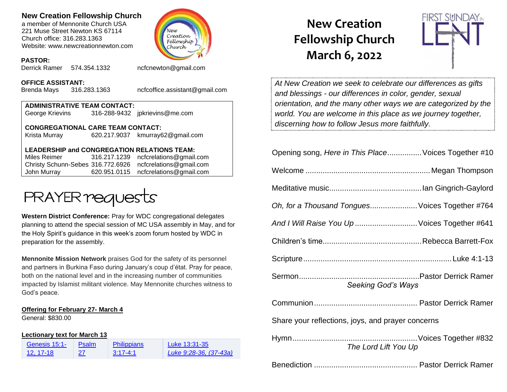# **New Creation Fellowship Church**

a member of Mennonite Church USA 221 Muse Street Newton KS 67114 Church office: 316.283.1363 Website: www.newcreationnewton.com



#### **PASTOR:**

Derrick Ramer 574.354.1332 [ncfcnewton@gmail.com](mailto:ncfcnewton@gmail.com)

#### **OFFICE ASSISTANT:**

Brenda Mays 316.283.1363 ncfcoffice.assistant@gmail.com

| <b>ADMINISTRATIVE TEAM CONTACT:</b>      |  |                                |  |  |  |
|------------------------------------------|--|--------------------------------|--|--|--|
| George Krievins                          |  | 316-288-9432 jpkrievins@me.com |  |  |  |
| <b>CONGREGATIONAL CARE TEAM CONTACT:</b> |  |                                |  |  |  |

Krista Murray 620.217.9037 [kmurray62@gmail.com](mailto:kmurray62@gmail.com)

## **LEADERSHIP and CONGREGATION RELATIONS TEAM:**

Miles Reimer [316.217.1239](mailto:316.217.1239) [ncfcrelations@gmail.com](mailto:ncfcrelations@gmail.com) Christy Schunn-Sebes 316.772.6926 [ncfcrelations@gmail.com](mailto:ncfcrelations@gmail.com) John Murray 620.951.0115 [ncfcrelations@gmail.com](mailto:ncfcrelations@gmail.com)



**Western District Conference:** Pray for WDC congregational delegates planning to attend the special session of MC USA assembly in May, and for the Holy Spirit's guidance in this week's zoom forum hosted by WDC in preparation for the assembly.

**Mennonite Mission Network** praises God for the safety of its personnel and partners in Burkina Faso during January's coup d'état. Pray for peace, both on the national level and in the increasing number of communities impacted by Islamist militant violence. May Mennonite churches witness to God's peace.

### **Offering for February 27- March 4**

General: \$830.00

### **Lectionary text for March 13**

| Genesis 15:1- | Psalm | <b>Philippians</b> | Luke 13:31-35          |
|---------------|-------|--------------------|------------------------|
| 12. 17-18     | 27    | $3:17-4:1$         | Luke 9:28-36, (37-43a) |

# **New Creation Fellowship Church March 6, 2022**



*At New Creation we seek to celebrate our differences as gifts and blessings - our differences in color, gender, sexual orientation, and the many other ways we are categorized by the world. You are welcome in this place as we journey together, discerning how to follow Jesus more faithfully.*

| Opening song, Here in This Place Voices Together #10 |  |  |
|------------------------------------------------------|--|--|
|                                                      |  |  |
|                                                      |  |  |
| Oh, for a Thousand Tongues Voices Together #764      |  |  |
| And I Will Raise You Up  Voices Together #641        |  |  |
|                                                      |  |  |
|                                                      |  |  |
| <b>Seeking God's Ways</b>                            |  |  |
|                                                      |  |  |
| Share your reflections, joys, and prayer concerns    |  |  |
| The Lord Lift You Up                                 |  |  |

Benediction ................................................ Pastor Derrick Ramer